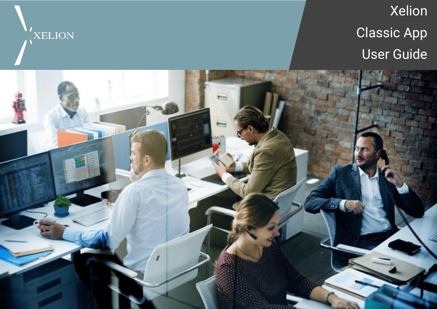

Xelion Classic App User Guide

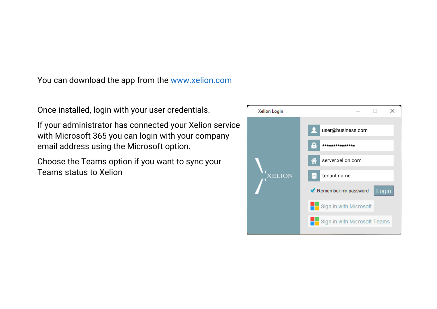You can download the app from the [www.xelion.com](http://www.xelion.com/)

Once installed, login with your user credentials.

If your administrator has connected your Xelion service with Microsoft 365 you can login with your company email address using the Microsoft option.

Choose the Teams option if you want to sync your Teams status to Xelion

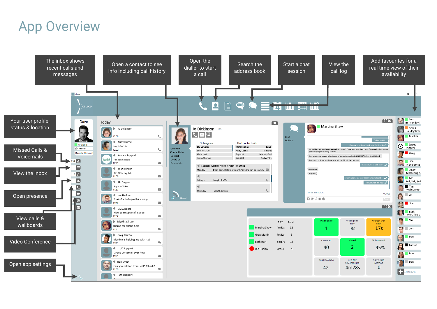## App Overview

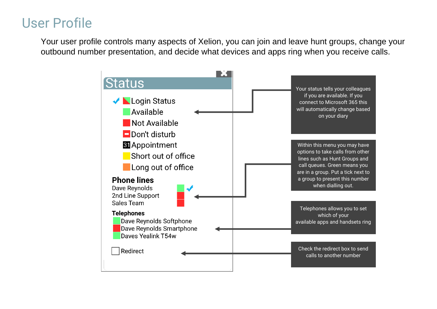## User Profile

Your user profile controls many aspects of Xelion, you can join and leave hunt groups, change your outbound number presentation, and decide what devices and apps ring when you receive calls.